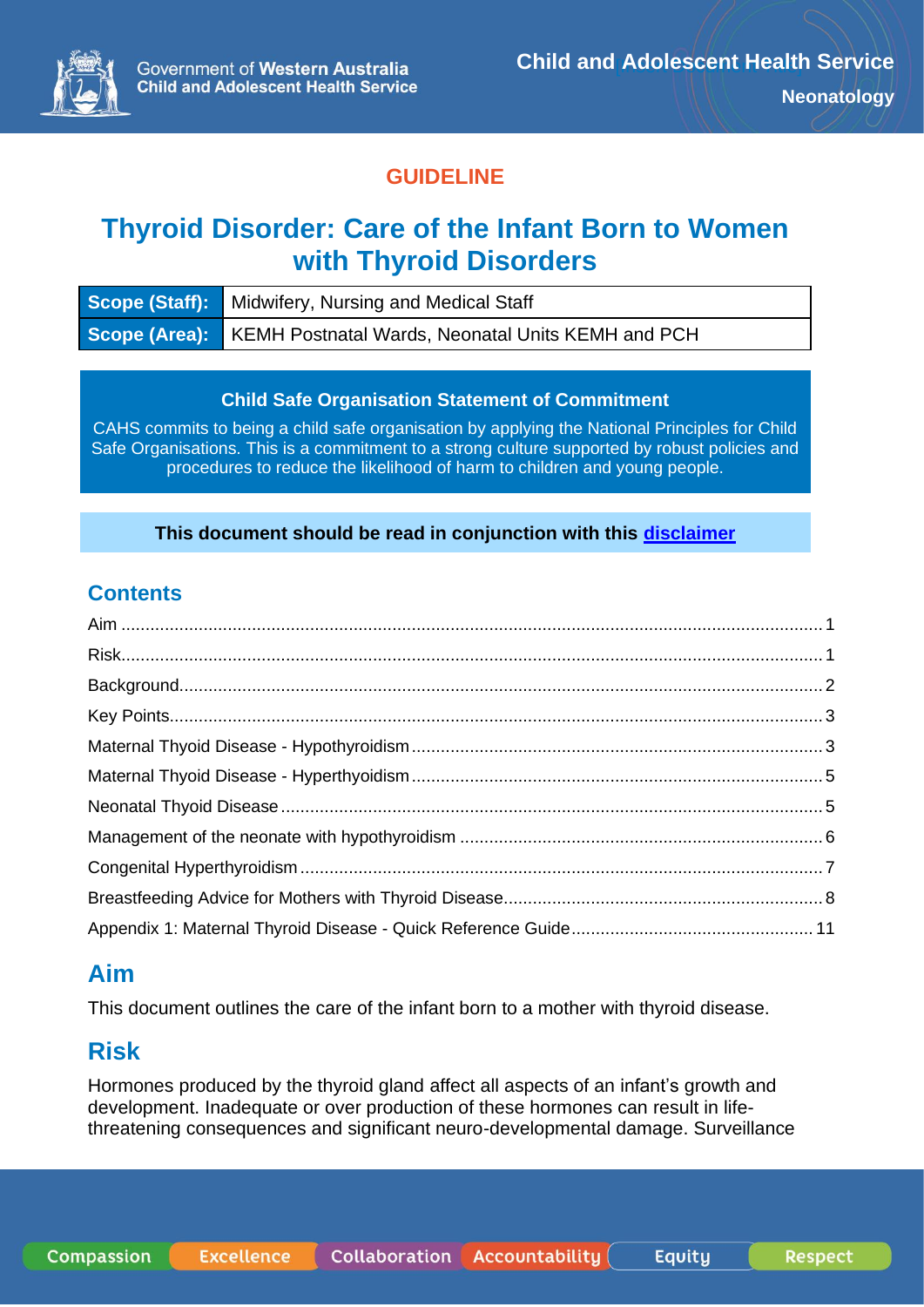

# **GUIDELINE**

# **Thyroid Disorder: Care of the Infant Born to Women with Thyroid Disorders**

| <b>Scope (Staff):</b> Midwifery, Nursing and Medical Staff             |
|------------------------------------------------------------------------|
| <b>Scope (Area):</b> KEMH Postnatal Wards, Neonatal Units KEMH and PCH |

#### **Child Safe Organisation Statement of Commitment**

CAHS commits to being a child safe organisation by applying the National Principles for Child Safe Organisations. This is a commitment to a strong culture supported by robust policies and procedures to reduce the likelihood of harm to children and young people.

#### **This document should be read in conjunction with this [disclaimer](https://www.cahs.health.wa.gov.au/For-health-professionals/Resources/CAHS-Clinical-Disclaimer)**

# **Contents**

# <span id="page-0-0"></span>**Aim**

This document outlines the care of the infant born to a mother with thyroid disease.

# <span id="page-0-1"></span>**Risk**

Hormones produced by the thyroid gland affect all aspects of an infant's growth and development. Inadequate or over production of these hormones can result in lifethreatening consequences and significant neuro-developmental damage. Surveillance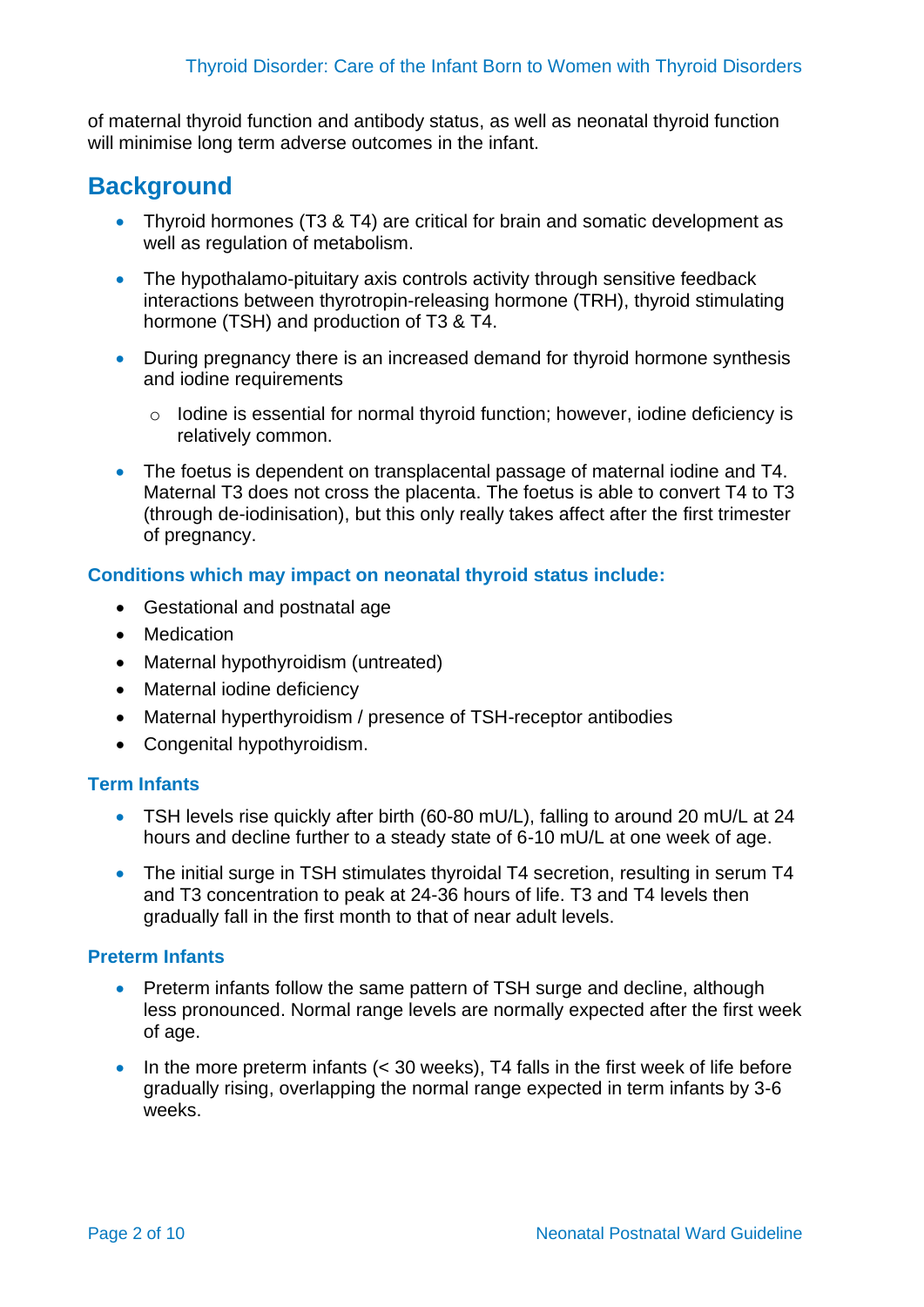of maternal thyroid function and antibody status, as well as neonatal thyroid function will minimise long term adverse outcomes in the infant.

# <span id="page-1-0"></span>**Background**

- Thyroid hormones (T3 & T4) are critical for brain and somatic development as well as regulation of metabolism.
- The hypothalamo-pituitary axis controls activity through sensitive feedback interactions between thyrotropin-releasing hormone (TRH), thyroid stimulating hormone (TSH) and production of T3 & T4.
- During pregnancy there is an increased demand for thyroid hormone synthesis and iodine requirements
	- o Iodine is essential for normal thyroid function; however, iodine deficiency is relatively common.
- The foetus is dependent on transplacental passage of maternal iodine and T4. Maternal T3 does not cross the placenta. The foetus is able to convert T4 to T3 (through de-iodinisation), but this only really takes affect after the first trimester of pregnancy.

#### **Conditions which may impact on neonatal thyroid status include:**

- Gestational and postnatal age
- Medication
- Maternal hypothyroidism (untreated)
- Maternal iodine deficiency
- Maternal hyperthyroidism / presence of TSH-receptor antibodies
- Congenital hypothyroidism.

#### **Term Infants**

- TSH levels rise quickly after birth (60-80 mU/L), falling to around 20 mU/L at 24 hours and decline further to a steady state of 6-10 mU/L at one week of age.
- The initial surge in TSH stimulates thyroidal T4 secretion, resulting in serum T4 and T3 concentration to peak at 24-36 hours of life. T3 and T4 levels then gradually fall in the first month to that of near adult levels.

#### **Preterm Infants**

- Preterm infants follow the same pattern of TSH surge and decline, although less pronounced. Normal range levels are normally expected after the first week of age.
- In the more preterm infants (< 30 weeks), T4 falls in the first week of life before gradually rising, overlapping the normal range expected in term infants by 3-6 weeks.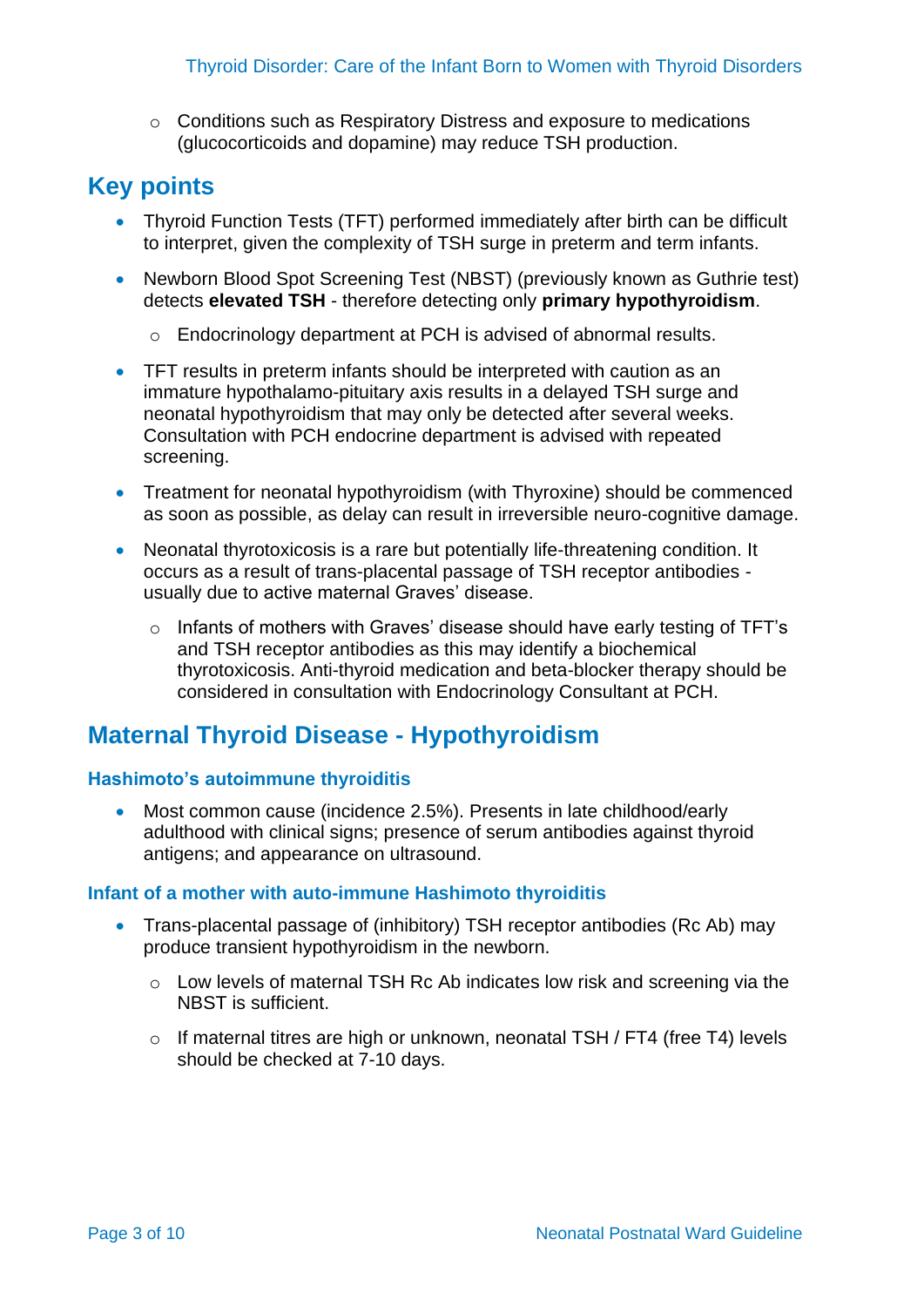o Conditions such as Respiratory Distress and exposure to medications (glucocorticoids and dopamine) may reduce TSH production.

# <span id="page-2-0"></span>**Key points**

- Thyroid Function Tests (TFT) performed immediately after birth can be difficult to interpret, given the complexity of TSH surge in preterm and term infants.
- Newborn Blood Spot Screening Test (NBST) (previously known as Guthrie test) detects **elevated TSH** - therefore detecting only **primary hypothyroidism**.
	- o Endocrinology department at PCH is advised of abnormal results.
- TFT results in preterm infants should be interpreted with caution as an immature hypothalamo-pituitary axis results in a delayed TSH surge and neonatal hypothyroidism that may only be detected after several weeks. Consultation with PCH endocrine department is advised with repeated screening.
- Treatment for neonatal hypothyroidism (with Thyroxine) should be commenced as soon as possible, as delay can result in irreversible neuro-cognitive damage.
- Neonatal thyrotoxicosis is a rare but potentially life-threatening condition. It occurs as a result of trans-placental passage of TSH receptor antibodies usually due to active maternal Graves' disease.
	- o Infants of mothers with Graves' disease should have early testing of TFT's and TSH receptor antibodies as this may identify a biochemical thyrotoxicosis. Anti-thyroid medication and beta-blocker therapy should be considered in consultation with Endocrinology Consultant at PCH.

# <span id="page-2-1"></span>**Maternal Thyroid Disease - Hypothyroidism**

#### **Hashimoto's autoimmune thyroiditis**

• Most common cause (incidence 2.5%). Presents in late childhood/early adulthood with clinical signs; presence of serum antibodies against thyroid antigens; and appearance on ultrasound.

#### **Infant of a mother with auto-immune Hashimoto thyroiditis**

- Trans-placental passage of (inhibitory) TSH receptor antibodies (Rc Ab) may produce transient hypothyroidism in the newborn.
	- o Low levels of maternal TSH Rc Ab indicates low risk and screening via the NBST is sufficient.
	- o If maternal titres are high or unknown, neonatal TSH / FT4 (free T4) levels should be checked at 7-10 days.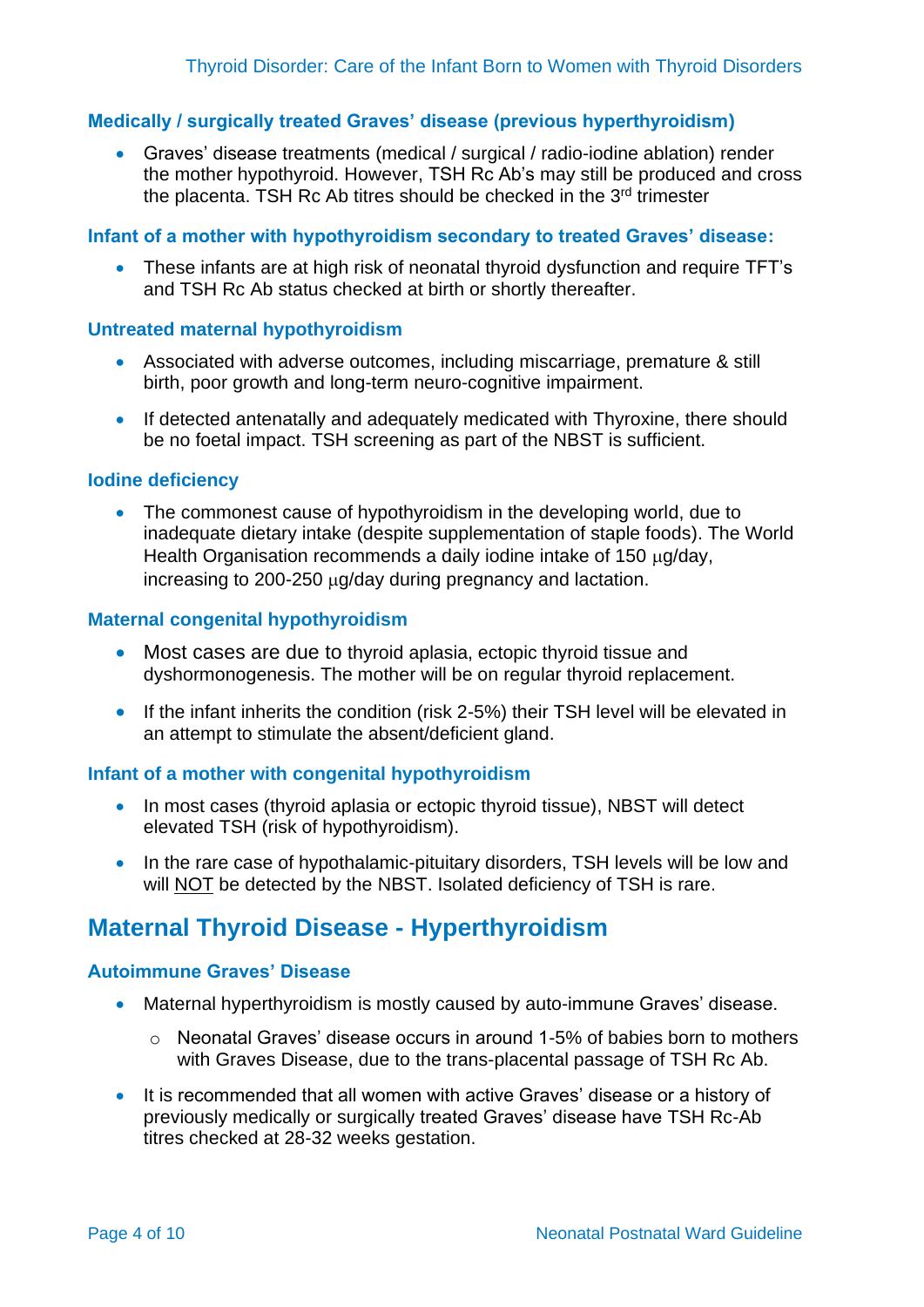#### **Medically / surgically treated Graves' disease (previous hyperthyroidism)**

• Graves' disease treatments (medical / surgical / radio-iodine ablation) render the mother hypothyroid. However, TSH Rc Ab's may still be produced and cross the placenta. TSH Rc Ab titres should be checked in the 3<sup>rd</sup> trimester

#### **Infant of a mother with hypothyroidism secondary to treated Graves' disease:**

• These infants are at high risk of neonatal thyroid dysfunction and require TFT's and TSH Rc Ab status checked at birth or shortly thereafter.

#### **Untreated maternal hypothyroidism**

- Associated with adverse outcomes, including miscarriage, premature & still birth, poor growth and long-term neuro-cognitive impairment.
- If detected antenatally and adequately medicated with Thyroxine, there should be no foetal impact. TSH screening as part of the NBST is sufficient.

#### **Iodine deficiency**

• The commonest cause of hypothyroidism in the developing world, due to inadequate dietary intake (despite supplementation of staple foods). The World Health Organisation recommends a daily jodine intake of 150 ug/day, increasing to 200-250  $\mu$ g/day during pregnancy and lactation.

#### **Maternal congenital hypothyroidism**

- Most cases are due to thyroid aplasia, ectopic thyroid tissue and dyshormonogenesis. The mother will be on regular thyroid replacement.
- If the infant inherits the condition (risk 2-5%) their TSH level will be elevated in an attempt to stimulate the absent/deficient gland.

#### **Infant of a mother with congenital hypothyroidism**

- In most cases (thyroid aplasia or ectopic thyroid tissue), NBST will detect elevated TSH (risk of hypothyroidism).
- In the rare case of hypothalamic-pituitary disorders, TSH levels will be low and will NOT be detected by the NBST. Isolated deficiency of TSH is rare.

### <span id="page-3-0"></span>**Maternal Thyroid Disease - Hyperthyroidism**

#### **Autoimmune Graves' Disease**

- Maternal hyperthyroidism is mostly caused by auto-immune Graves' disease.
	- o Neonatal Graves' disease occurs in around 1-5% of babies born to mothers with Graves Disease, due to the trans-placental passage of TSH Rc Ab.
- It is recommended that all women with active Graves' disease or a history of previously medically or surgically treated Graves' disease have TSH Rc-Ab titres checked at 28-32 weeks gestation.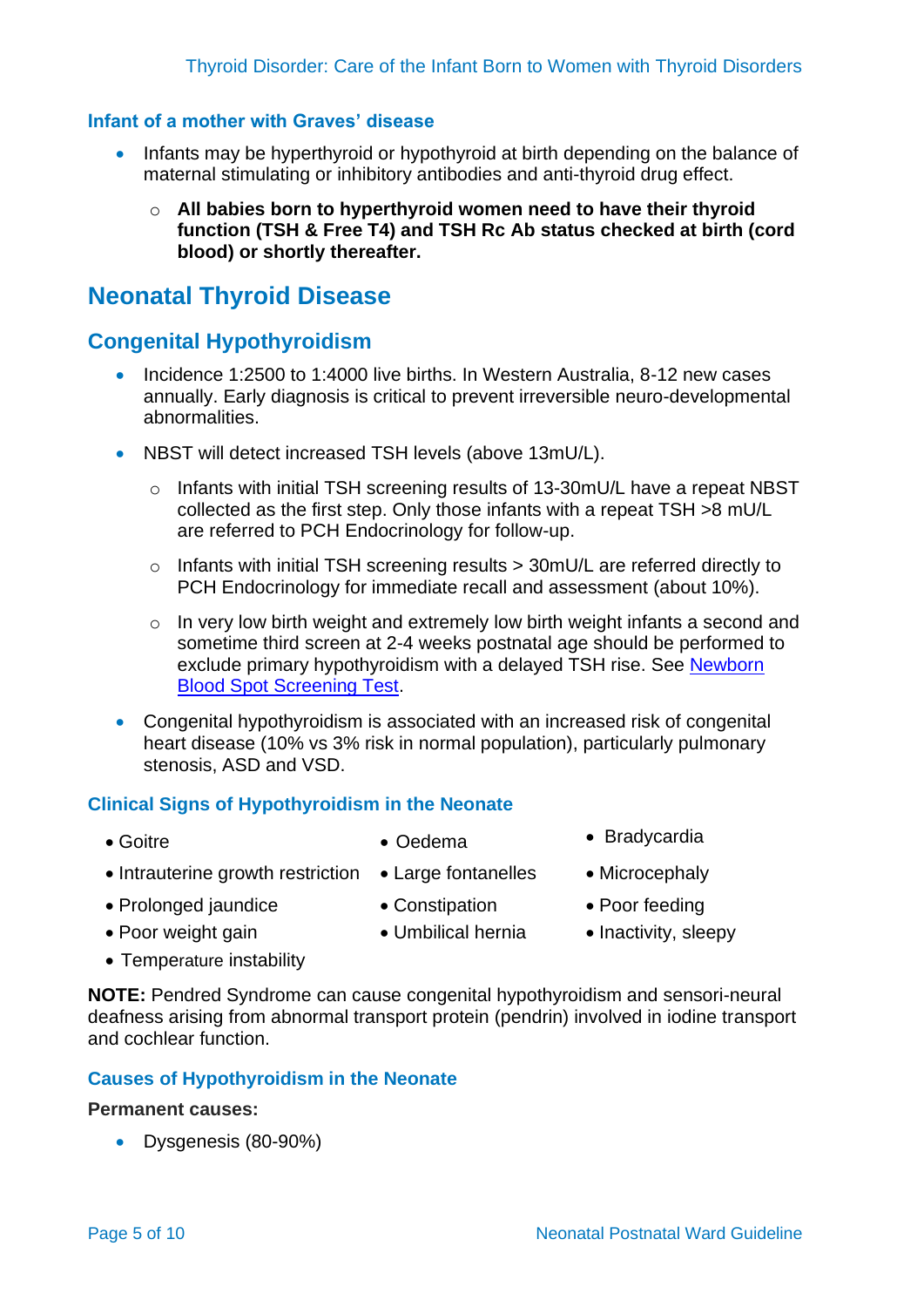#### **Infant of a mother with Graves' disease**

- Infants may be hyperthyroid or hypothyroid at birth depending on the balance of maternal stimulating or inhibitory antibodies and anti-thyroid drug effect.
	- o **All babies born to hyperthyroid women need to have their thyroid function (TSH & Free T4) and TSH Rc Ab status checked at birth (cord blood) or shortly thereafter.**

### <span id="page-4-0"></span>**Neonatal Thyroid Disease**

#### **Congenital Hypothyroidism**

- Incidence 1:2500 to 1:4000 live births. In Western Australia, 8-12 new cases annually. Early diagnosis is critical to prevent irreversible neuro-developmental abnormalities.
- NBST will detect increased TSH levels (above 13mU/L).
	- o Infants with initial TSH screening results of 13-30mU/L have a repeat NBST collected as the first step. Only those infants with a repeat TSH >8 mU/L are referred to PCH Endocrinology for follow-up.
	- o Infants with initial TSH screening results > 30mU/L are referred directly to PCH Endocrinology for immediate recall and assessment (about 10%).
	- $\circ$  In very low birth weight and extremely low birth weight infants a second and sometime third screen at 2-4 weeks postnatal age should be performed to exclude primary hypothyroidism with a delayed TSH rise. See [Newborn](https://cahs.health.wa.gov.au/~/media/HSPs/CAHS/Documents/Health-Professionals/Neonatology-guidelines/Newborn-Screening-Test.pdf?thn=0)  [Blood Spot Screening Test.](https://cahs.health.wa.gov.au/~/media/HSPs/CAHS/Documents/Health-Professionals/Neonatology-guidelines/Newborn-Screening-Test.pdf?thn=0)
- Congenital hypothyroidism is associated with an increased risk of congenital heart disease (10% vs 3% risk in normal population), particularly pulmonary stenosis, ASD and VSD.

#### **Clinical Signs of Hypothyroidism in the Neonate**

- 
- Goitre Cedema Bradycardia
- Intrauterine growth restriction Large fontanelles Microcephaly
- Prolonged jaundice

• Poor weight gain

• Constipation

• Umbilical hernia

- 
- 
- Poor feeding
- Inactivity, sleepy

• Temperature instability

**NOTE:** Pendred Syndrome can cause congenital hypothyroidism and sensori-neural deafness arising from abnormal transport protein (pendrin) involved in iodine transport and cochlear function.

#### **Causes of Hypothyroidism in the Neonate**

#### **Permanent causes:**

• Dysgenesis (80-90%)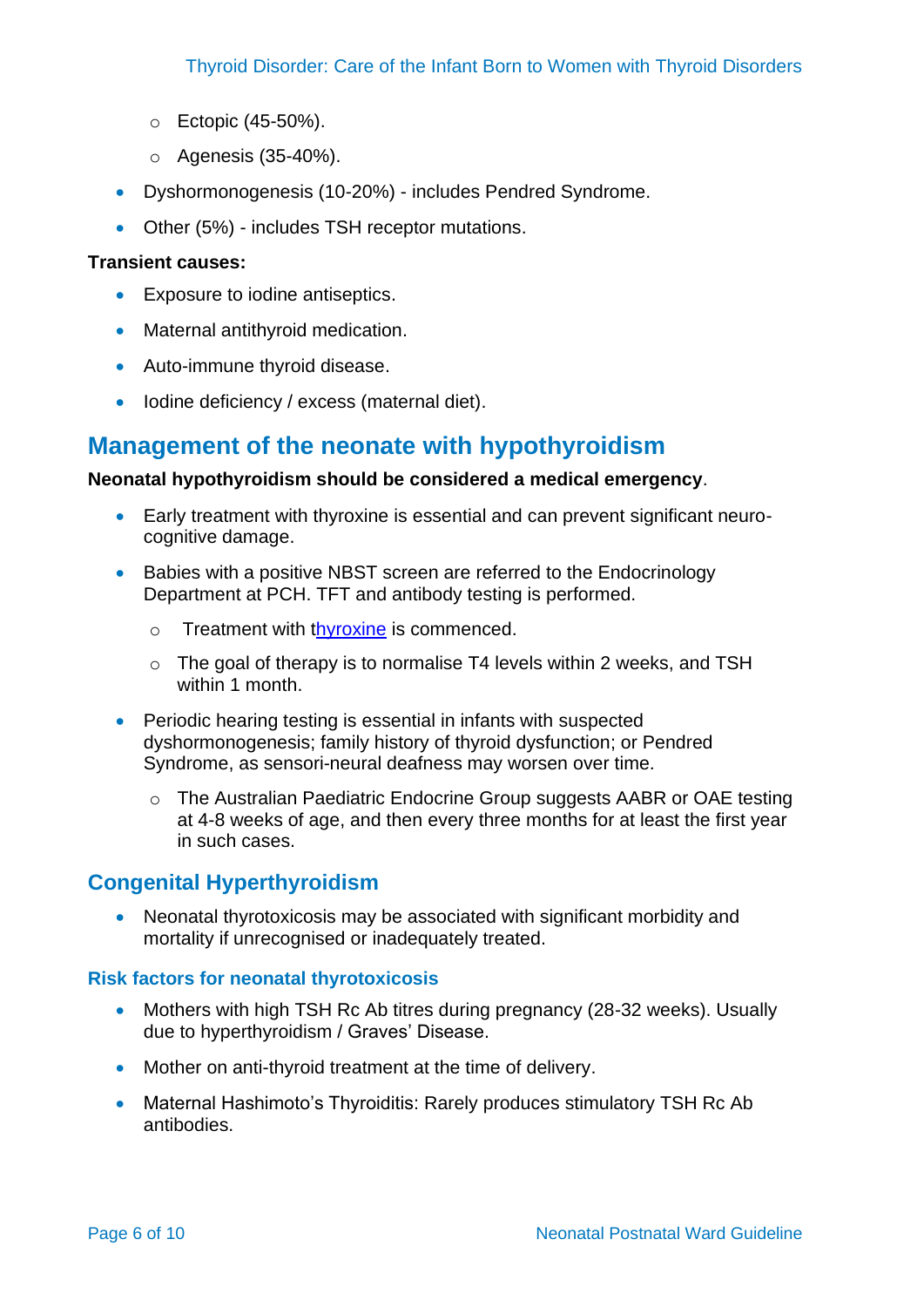- o Ectopic (45-50%).
- o Agenesis (35-40%).
- Dyshormonogenesis (10-20%) includes Pendred Syndrome.
- Other (5%) includes TSH receptor mutations.

#### **Transient causes:**

- Exposure to iodine antiseptics.
- Maternal antithyroid medication.
- Auto-immune thyroid disease.
- Iodine deficiency / excess (maternal diet).

# **Management of the neonate with hypothyroidism**

#### **Neonatal hypothyroidism should be considered a medical emergency**.

- Early treatment with thyroxine is essential and can prevent significant neurocognitive damage.
- Babies with a positive NBST screen are referred to the Endocrinology Department at PCH. TFT and antibody testing is performed.
	- o Treatment with [thyroxine](https://wnhs.health.wa.gov.au/~/media/HSPs/NMHS/Hospitals/WNHS/Documents/Clinical-guidelines/Neonatal-MPs/Levothyroxine.pdf?thn=0) is commenced.
	- o The goal of therapy is to normalise T4 levels within 2 weeks, and TSH within 1 month.
- Periodic hearing testing is essential in infants with suspected dyshormonogenesis; family history of thyroid dysfunction; or Pendred Syndrome, as sensori-neural deafness may worsen over time.
	- o The Australian Paediatric Endocrine Group suggests AABR or OAE testing at 4-8 weeks of age, and then every three months for at least the first year in such cases.

#### **Congenital Hyperthyroidism**

• Neonatal thyrotoxicosis may be associated with significant morbidity and mortality if unrecognised or inadequately treated.

#### **Risk factors for neonatal thyrotoxicosis**

- Mothers with high TSH Rc Ab titres during pregnancy (28-32 weeks). Usually due to hyperthyroidism / Graves' Disease.
- Mother on anti-thyroid treatment at the time of delivery.
- Maternal Hashimoto's Thyroiditis: Rarely produces stimulatory TSH Rc Ab antibodies.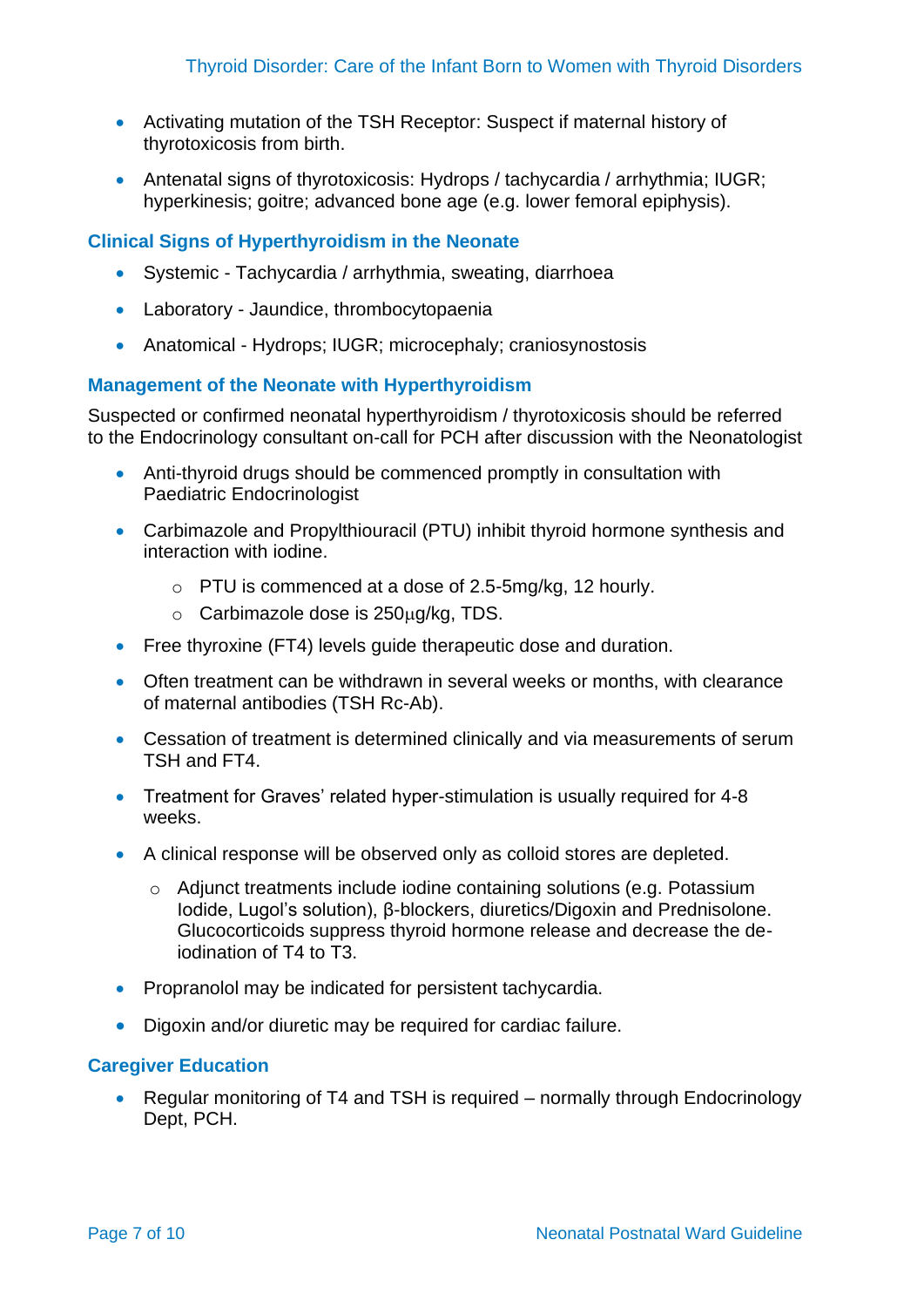- Activating mutation of the TSH Receptor: Suspect if maternal history of thyrotoxicosis from birth.
- Antenatal signs of thyrotoxicosis: Hydrops / tachycardia / arrhythmia; IUGR; hyperkinesis; goitre; advanced bone age (e.g. lower femoral epiphysis).

#### **Clinical Signs of Hyperthyroidism in the Neonate**

- Systemic Tachycardia / arrhythmia, sweating, diarrhoea
- Laboratory Jaundice, thrombocytopaenia
- Anatomical Hydrops; IUGR; microcephaly; craniosynostosis

#### **Management of the Neonate with Hyperthyroidism**

Suspected or confirmed neonatal hyperthyroidism / thyrotoxicosis should be referred to the Endocrinology consultant on-call for PCH after discussion with the Neonatologist

- Anti-thyroid drugs should be commenced promptly in consultation with Paediatric Endocrinologist
- Carbimazole and Propylthiouracil (PTU) inhibit thyroid hormone synthesis and interaction with iodine.
	- o PTU is commenced at a dose of 2.5-5mg/kg, 12 hourly.
	- $\circ$  Carbimazole dose is 250 $\mu$ g/kg, TDS.
- Free thyroxine (FT4) levels quide therapeutic dose and duration.
- Often treatment can be withdrawn in several weeks or months, with clearance of maternal antibodies (TSH Rc-Ab).
- Cessation of treatment is determined clinically and via measurements of serum TSH and FT4.
- Treatment for Graves' related hyper-stimulation is usually required for 4-8 weeks.
- A clinical response will be observed only as colloid stores are depleted.
	- o Adjunct treatments include iodine containing solutions (e.g. Potassium Iodide, Lugol's solution), β-blockers, diuretics/Digoxin and Prednisolone. Glucocorticoids suppress thyroid hormone release and decrease the deiodination of T4 to T3.
- Propranolol may be indicated for persistent tachycardia.
- Digoxin and/or diuretic may be required for cardiac failure.

#### **Caregiver Education**

• Regular monitoring of T4 and TSH is required – normally through Endocrinology Dept, PCH.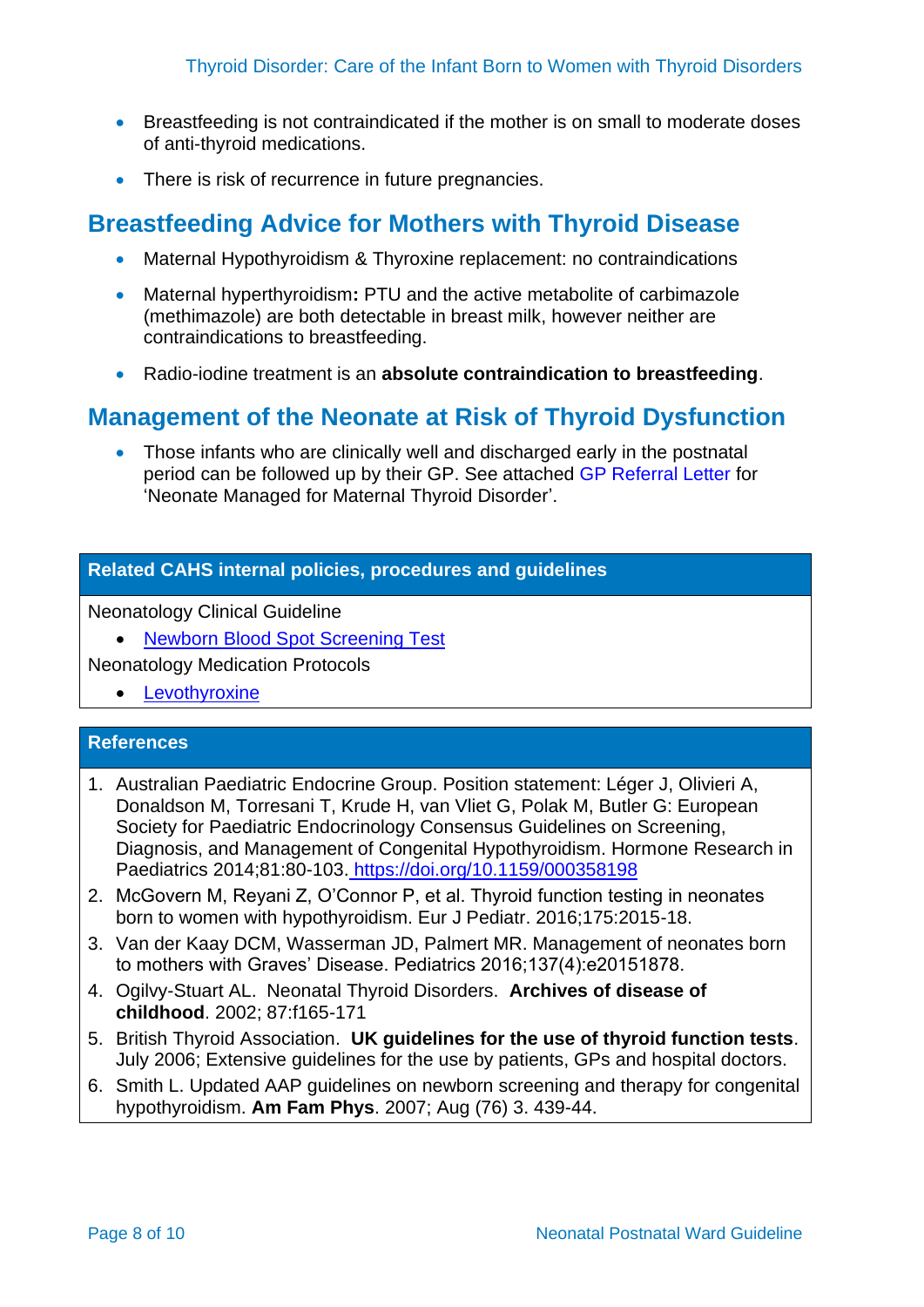- Breastfeeding is not contraindicated if the mother is on small to moderate doses of anti-thyroid medications.
- There is risk of recurrence in future pregnancies.

# <span id="page-7-0"></span>**Breastfeeding Advice for Mothers with Thyroid Disease**

- Maternal Hypothyroidism & Thyroxine replacement: no contraindications
- Maternal hyperthyroidism**:** PTU and the active metabolite of carbimazole (methimazole) are both detectable in breast milk, however neither are contraindications to breastfeeding.
- Radio-iodine treatment is an **absolute contraindication to breastfeeding**.

# **Management of the Neonate at Risk of Thyroid Dysfunction**

• Those infants who are clinically well and discharged early in the postnatal period can be followed up by their GP. See attached [GP Referral Letter](https://cahs-healthpoint.hdwa.health.wa.gov.au/Neonatology/Neonatology%20Forms/Maternal%20Thyroid%20Disorder%20GP%20Referral%20Letter.pdf) for 'Neonate Managed for Maternal Thyroid Disorder'.

#### **Related CAHS internal policies, procedures and guidelines**

Neonatology Clinical Guideline

• [Newborn Blood Spot Screening Test](https://cahs.health.wa.gov.au/~/media/HSPs/CAHS/Documents/Health-Professionals/Neonatology-guidelines/Newborn-Screening-Test.pdf?thn=0)

Neonatology Medication Protocols

• [Levothyroxine](https://kemh.health.wa.gov.au/~/media/HSPs/NMHS/Hospitals/WNHS/Documents/Clinical-guidelines/Neonatal-MPs/Levothyroxine.pdf?thn=0)

#### **References**

- 1. Australian Paediatric Endocrine Group. Position statement: Léger J, Olivieri A, Donaldson M, Torresani T, Krude H, van Vliet G, Polak M, Butler G: European Society for Paediatric Endocrinology Consensus Guidelines on Screening, Diagnosis, and Management of Congenital Hypothyroidism. Hormone Research in Paediatrics 2014;81:80-103. <https://doi.org/10.1159/000358198>
- 2. McGovern M, Reyani Z, O'Connor P, et al. Thyroid function testing in neonates born to women with hypothyroidism. Eur J Pediatr. 2016;175:2015-18.
- 3. Van der Kaay DCM, Wasserman JD, Palmert MR. Management of neonates born to mothers with Graves' Disease. Pediatrics 2016;137(4):e20151878.
- 4. Ogilvy-Stuart AL. Neonatal Thyroid Disorders. **Archives of disease of childhood**. 2002; 87:f165-171
- 5. British Thyroid Association. **UK guidelines for the use of thyroid function tests**. July 2006; Extensive guidelines for the use by patients, GPs and hospital doctors.
- 6. Smith L. Updated AAP guidelines on newborn screening and therapy for congenital hypothyroidism. **Am Fam Phys**. 2007; Aug (76) 3. 439-44.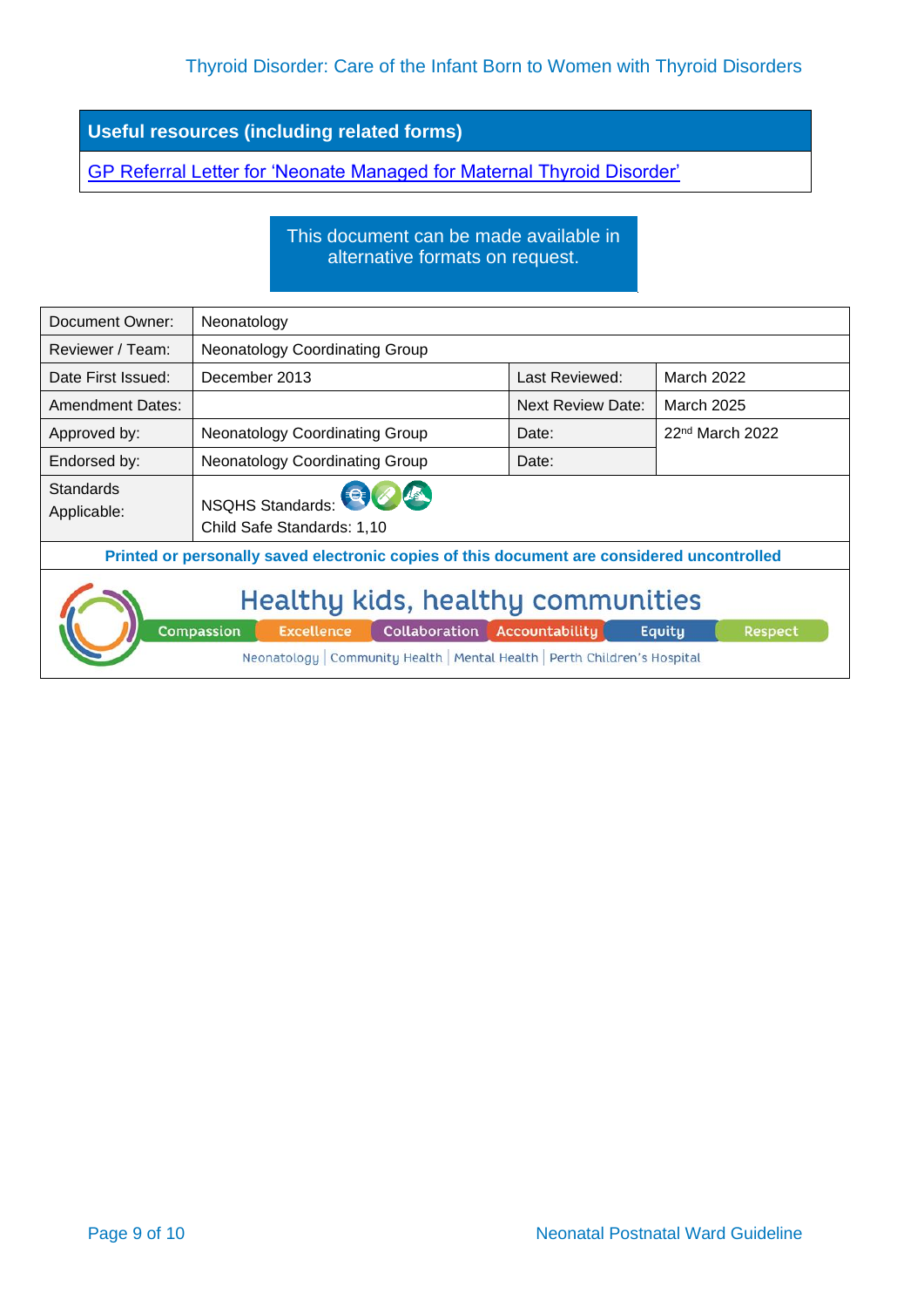**Useful resources (including related forms)**

[GP Referral Letter for 'Neonate Managed for Maternal Thyroid Disorder'](https://cahs-healthpoint.hdwa.health.wa.gov.au/Neonatology/Neonatology%20Forms/Maternal%20Thyroid%20Disorder%20GP%20Referral%20Letter.pdf)

This document can be made available in alternative formats on request.

| Document Owner:                                                                                                                                                                                                   | Neonatology                                    |                          |                   |  |  |  |
|-------------------------------------------------------------------------------------------------------------------------------------------------------------------------------------------------------------------|------------------------------------------------|--------------------------|-------------------|--|--|--|
| Reviewer / Team:                                                                                                                                                                                                  | <b>Neonatology Coordinating Group</b>          |                          |                   |  |  |  |
| Date First Issued:                                                                                                                                                                                                | December 2013                                  | Last Reviewed:           | March 2022        |  |  |  |
| <b>Amendment Dates:</b>                                                                                                                                                                                           |                                                | <b>Next Review Date:</b> | March 2025        |  |  |  |
| Approved by:                                                                                                                                                                                                      | Neonatology Coordinating Group                 | Date:                    | $22nd$ March 2022 |  |  |  |
| Endorsed by:                                                                                                                                                                                                      | <b>Neonatology Coordinating Group</b>          | Date:                    |                   |  |  |  |
| <b>Standards</b><br>Applicable:                                                                                                                                                                                   | NSQHS Standards:<br>Child Safe Standards: 1,10 |                          |                   |  |  |  |
| Printed or personally saved electronic copies of this document are considered uncontrolled                                                                                                                        |                                                |                          |                   |  |  |  |
| Healthy kids, healthy communities<br>Compassion<br><b>Collaboration</b><br>Accountability<br><b>Excellence</b><br>Respect<br>Equity<br>Neonatology   Community Health   Mental Health   Perth Children's Hospital |                                                |                          |                   |  |  |  |